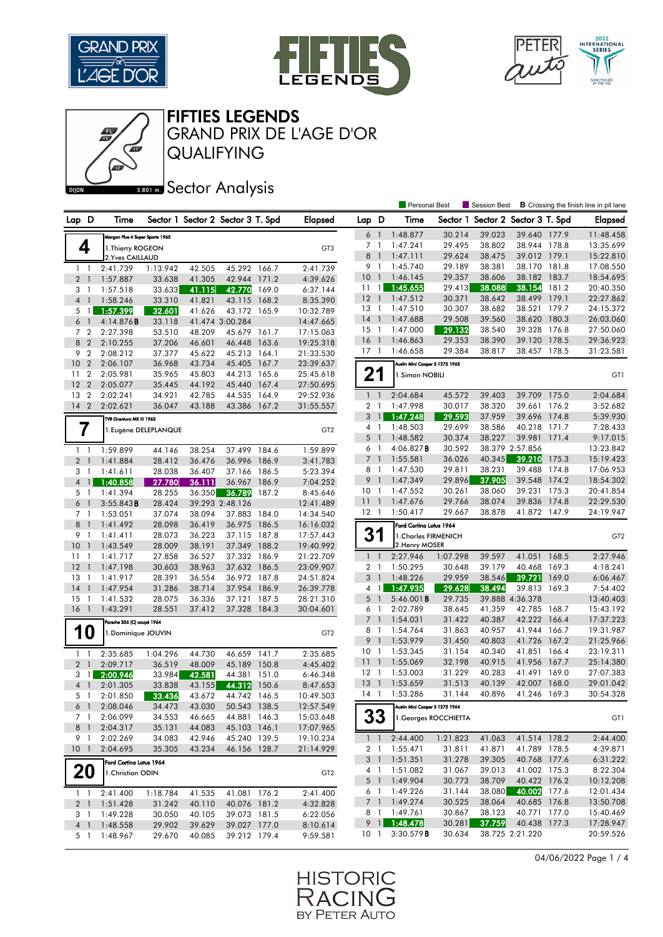

đ





FIFTIES LEGENDS

QUALIFYING GRAND PRIX DE L'AGE D'OR

**BRONES** Sector Analysis

|                                |                                 |                      |        |                                   |       |                 |                 |                | <b>Personal Best</b>           |                       | Session Best                      |                 |       | <b>B</b> Crossing the finish line in pit lane |
|--------------------------------|---------------------------------|----------------------|--------|-----------------------------------|-------|-----------------|-----------------|----------------|--------------------------------|-----------------------|-----------------------------------|-----------------|-------|-----------------------------------------------|
| Lap D                          | Time                            |                      |        | Sector 1 Sector 2 Sector 3 T. Spd |       | <b>Elapsed</b>  | Lap D           |                | Time                           |                       | Sector 1 Sector 2 Sector 3 T. Spd |                 |       | <b>Elapsed</b>                                |
|                                | Morgan Plus 4 Super Sports 1965 |                      |        |                                   |       |                 | $6-1$           |                | 1:48.877                       | 30.214                | 39.023                            | 39.640 177.9    |       | 11:48.458                                     |
| 4                              | 1. Thierry ROGEON               |                      |        |                                   |       | GT3             | 7 1             |                | 1:47.241                       | 29.495                | 38.802                            | 38.944 178.8    |       | 13:35.699                                     |
|                                | 2. Yves CAILLAUD                |                      |        |                                   |       |                 | 8 1             |                | 1:47.111                       | 29.624                | 38.475                            | 39.012 179.1    |       | 15:22.810                                     |
| 1 <sub>1</sub>                 | 2:41.739                        | 1:13.942             | 42.505 | 45.292 166.7                      |       | 2:41.739        | 9               | - 1            | 1:45.740                       | 29.189                | 38.381                            | 38.170          | 181.8 | 17:08.550                                     |
| 2 <sup>1</sup>                 | 1:57.887                        | 33.638               | 41.305 | 42.944 171.2                      |       | 4:39.626        | 10              | $\overline{1}$ | 1:46.145                       | 29.357                | 38.606                            | 38.182 183.7    |       | 18:54.695                                     |
| 3 <sub>1</sub>                 | 1:57.518                        | 33.633               | 41.115 | 42.770                            | 169.0 | 6:37.144        | 11              | $\overline{1}$ | 1:45.655                       | 29.413                | 38.088                            | 38.154          | 181.2 | 20:40.350                                     |
| 4 <sup>1</sup>                 | 1:58.246                        | 33.310               | 41.821 | 43.115 168.2                      |       | 8:35.390        | $12-1$          |                | 1:47.512                       | 30.371                | 38.642                            | 38.499          | 179.1 | 22:27.862                                     |
| $5 \vert 1 \vert$              | 1:57.399                        | 32.601               | 41.626 | 43.172 165.9                      |       | 10:32.789       | 13 1            |                | 1:47.510                       | 30.307                | 38.682                            | 38.521          | 179.7 | 24:15.372                                     |
| 6 <sup>1</sup>                 | 4:14.876B                       | 33.118               |        | 41.474 3:00.284                   |       | 14:47.665       | $14-1$          |                | 1:47.688                       | 29.508                | 39.560                            | 38.620          | 180.3 | 26:03.060                                     |
| 7 <sub>2</sub>                 | 2:27.398                        | 53.510               | 48.209 | 45.679 161.7                      |       | 17:15.063       | $15-1$          |                | 1:47.000                       | 29.132                | 38.540                            | 39.328 176.8    |       | 27:50.060                                     |
| 8 2                            | 2:10.255                        | 37.206               | 46.601 | 46.448                            | 163.6 | 19:25.318       | 16              | $\overline{1}$ | 1:46.863                       | 29.353                | 38.390                            | 39.120          | 178.5 | 29:36.923                                     |
| 9<br>$\overline{2}$            | 2:08.212                        | 37.377               | 45.622 | 45.213 164.1                      |       | 21:33.530       | $17-1$          |                | 1:46.658                       | 29.384                | 38.817                            | 38.457 178.5    |       | 31:23.581                                     |
| 10<br>$\overline{2}$           | 2:06.107                        | 36.968               | 43.734 | 45.405 167.7                      |       | 23:39.637       |                 |                | Austin Mini Cooper S 1275 1965 |                       |                                   |                 |       |                                               |
| $\overline{2}$<br>11           | 2:05.981                        | 35.965               | 45.803 | 44.213 165.6                      |       | 25:45.618       | 21              |                |                                |                       |                                   |                 |       |                                               |
| 12<br>$\overline{2}$           | 2:05.077                        | 35.445               | 44.192 | 45.440 167.4                      |       | 27:50.695       |                 |                | 1.Simon NOBILI                 |                       |                                   |                 |       | GT1                                           |
| $\overline{2}$<br>13           | 2:02.241                        | 34.921               | 42.785 | 44.535 164.9                      |       | 29:52.936       | $1\quad1$       |                | 2:04.684                       | 45.572                | 39.403                            | 39.709          | 175.0 | 2:04.684                                      |
| $14 \quad 2$                   | 2:02.621                        | 36.047               | 43.188 | 43.386 167.2                      |       | 31:55.557       | 2 <sub>1</sub>  |                | 1:47.998                       | 30.017                | 38.320                            | 39.661          | 176.2 | 3:52.682                                      |
|                                |                                 |                      |        |                                   |       |                 |                 | $3 \mid$       | 1:47.248                       | 29.593                | 37.959                            | 39.696          | 174.8 | 5:39.930                                      |
|                                | TVR Grantura MK III 1963        |                      |        |                                   |       |                 | 4 1             |                | 1:48.503                       | 29.699                | 38.586                            | 40.218 171.7    |       | 7:28.433                                      |
| 7                              |                                 | 1.Eugène DELEPLANQUE |        |                                   |       | GT <sub>2</sub> | 5 <sup>1</sup>  |                | 1:48.582                       | 30.374                | 38.227                            | 39.981 171.4    |       | 9:17.015                                      |
|                                |                                 |                      |        |                                   |       |                 | 6 1             |                | 4:06.827B                      | 30.592                |                                   | 38.379 2:57.856 |       | 13:23.842                                     |
| 1 <sub>1</sub>                 | 1:59.899                        | 44.146               | 38.254 | 37.499 184.6                      |       | 1:59.899        | 7 <sup>1</sup>  |                | 1:55.581                       | 36.026                | 40.345                            | 39.210 175.3    |       | 15:19.423                                     |
| 2 <sub>1</sub>                 | 1:41.884                        | 28.412               | 36.476 | 36.996 186.9                      |       | 3:41.783        | 8 1             |                | 1:47.530                       | 29.811                | 38.231                            | 39.488 174.8    |       | 17:06.953                                     |
| 3 1                            | 1:41.611                        | 28.038               | 36.407 | 37.166 186.5                      |       | 5:23.394        | 9               | $\mathbf{1}$   | 1:47.349                       | 29.896                | 37.905                            | 39.548          | 174.2 | 18:54.302                                     |
| $4 \mid$                       | 1:40.858                        | 27.780               | 36.111 | 36.967                            | 186.9 | 7:04.252        |                 |                |                                |                       |                                   | 39.231 175.3    |       |                                               |
| 5 1                            | 1:41.394                        | 28.255               | 36.350 | 36.789                            | 187.2 | 8:45.646        | 10 <sub>1</sub> |                | 1:47.552                       | 30.261<br>29.766      | 38.060                            | 39.836          | 174.8 | 20:41.854                                     |
| 6 <sup>1</sup>                 | 3:55.843B                       | 28.424               |        | 39.293 2:48.126                   |       | 12:41.489       | 11 <sub>1</sub> |                | 1:47.676                       | 29.667                | 38.074                            | 41.872 147.9    |       | 22:29.530<br>24:19.947                        |
| 7 <sup>1</sup>                 | 1:53.051                        | 37.074               | 38.094 | 37.883 184.0                      |       | 14:34.540       | $12-1$          |                | 1:50.417                       |                       | 38.878                            |                 |       |                                               |
| 8<br>-1                        | 1:41.492                        | 28.098               | 36.419 | 36.975 186.5                      |       | 16:16.032       |                 |                | Ford Cortina Lotus 1964        |                       |                                   |                 |       |                                               |
| 9 1                            | 1:41.411                        | 28.073               | 36.223 | 37.115 187.8                      |       | 17:57.443       | 31              |                | 1. Charles FIRMENICH           |                       |                                   |                 |       | GT <sub>2</sub>                               |
| 10<br>$\overline{\phantom{0}}$ | 1:43.549                        | 28.009               | 38.191 | 37.349 188.2                      |       | 19:40.992       |                 |                | 2. Henry MOSER                 |                       |                                   |                 |       |                                               |
| 11<br>- 1                      | 1:41.717                        | 27.858               | 36.527 | 37.332 186.9                      |       | 21:22.709       | $1\quad1$       |                | 2:27.946                       | 1:07.298              | 39.597                            | 41.051          | 168.5 | 2:27.946                                      |
| 12<br>$\overline{1}$           | 1:47.198                        | 30.603               | 38.963 | 37.632 186.5                      |       | 23:09.907       | 2 <sub>1</sub>  |                | 1:50.295                       | 30.648                | 39.179                            | 40.468          | 169.3 | 4:18.241                                      |
| 13<br>- 1                      | 1:41.917                        | 28.391               | 36.554 | 36.972 187.8                      |       | 24:51.824       | 3 <sup>1</sup>  |                | 1:48.226                       | 29.959                | 38.546                            | 39.721          | 169.0 | 6:06.467                                      |
| 14<br>$\overline{1}$           | 1:47.954                        | 31.286               | 38.714 | 37.954 186.9                      |       | 26:39.778       |                 | $4 \mid$       | 1:47.935                       | 29.628                | 38.494                            | 39.813 169.3    |       | 7:54.402                                      |
| $15-1$                         | 1:41.532                        | 28.075               | 36.336 | 37.121 187.5                      |       | 28:21.310       | $5-1$           |                | $5:46.001$ <b>B</b>            | 29.735                |                                   | 39.888 4:36.378 |       | 13:40.403                                     |
| $16-1$                         | 1:43.291                        | 28.551               | 37.412 | 37.328 184.3                      |       | 30:04.601       | 6 1             |                | 2:02.789                       | 38.645                | 41.359                            | 42.785 168.7    |       | 15:43.192                                     |
|                                | Porsche 356 (C) coupé 1964      |                      |        |                                   |       |                 | 7 <sup>1</sup>  |                | 1:54.031                       | 31.422                | 40.387                            | 42.222 166.4    |       | 17:37.223                                     |
| 10                             | 1.Dominique JOUVIN              |                      |        |                                   |       | GT <sub>2</sub> | 8 1             |                | 1:54.764                       | 31.863                | 40.957                            | 41.944 166.7    |       | 19:31.987                                     |
|                                |                                 |                      |        |                                   |       |                 | 9               | $\overline{1}$ | 1:53.979                       | 31.450                | 40.803                            | 41.726          | 167.2 | 21:25.966                                     |
| $1\quad$                       | 2:35.685                        | 1:04.296             | 44.730 | 46.659 141.7                      |       | 2:35.685        | 10 <sub>1</sub> |                | 1:53.345                       | 31.154                | 40.340                            | 41.851 166.4    |       | 23:19.311                                     |
| 2 <sub>1</sub>                 | 2:09.717                        | 36.519               | 48.009 | 45.189 150.8                      |       | 4:45.402        | $11-1$          |                | 1:55.069                       | 32.198                | 40.915                            | 41.956          | 167.7 | 25:14.380                                     |
| $3 \mid$                       | 2:00.946                        | 33.984               | 42.581 | 44.381                            | 151.0 | 6:46.348        | $12-1$          |                | 1:53.003                       | 31.229                | 40.283                            | 41.491 169.0    |       | 27:07.383                                     |
| 4 <sup>1</sup>                 | 2:01.305                        | 33.838               | 43.155 | 44.312                            | 150.6 | 8:47.653        | 13              |                | 1:53.659                       | 31.513                | 40.139                            | 42.007          | 168.0 | 29:01.042                                     |
| 5 1                            | 2:01.850                        | 33.436               | 43.672 | 44.742 146.5                      |       | 10:49.503       | 14 1            |                | 1:53.286                       | 31.144                | 40.896                            | 41.246 169.3    |       | 30:54.328                                     |
| 6 1                            | 2:08.046                        | 34.473               | 43.030 | 50.543 138.5                      |       | 12:57.549       |                 |                | Austin Mini Cooper S 1275 1964 |                       |                                   |                 |       |                                               |
| 7 1                            | 2:06.099                        | 34.553               | 46.665 | 44.881 146.3                      |       | 15:03.648       |                 | 33             |                                | 1. Georges ROCCHIETTA |                                   |                 |       | GT1                                           |
| 8 <sup>1</sup>                 | 2:04.317                        | 35.131               | 44.083 | 45.103 146.1                      |       | 17:07.965       |                 |                |                                |                       |                                   |                 |       |                                               |
| 9 1                            | 2:02.269                        | 34.083               | 42.946 | 45.240 139.5                      |       | 19:10.234       |                 | $1\quad1$      | 2:44.400                       | 1:21.823              | 41.063                            | 41.514 178.2    |       | 2:44.400                                      |
| 10 <sub>1</sub>                | 2:04.695                        | 35.305               | 43.234 | 46.156 128.7                      |       | 21:14.929       | 2 <sub>1</sub>  |                | 1:55.471                       | 31.811                | 41.871                            | 41.789 178.5    |       | 4:39.871                                      |
|                                | Ford Cortina Lotus 1964         |                      |        |                                   |       |                 |                 | 3 1            | 1:51.351                       | 31.278                | 39.305                            | 40.768 177.6    |       | 6:31.222                                      |
| 20                             | 1. Christian ODIN               |                      |        |                                   |       | GT <sub>2</sub> |                 | 4 1            | 1:51.082                       | 31.067                | 39.013                            | 41.002 175.3    |       | 8:22.304                                      |
|                                |                                 |                      |        |                                   |       |                 |                 | 5 <sup>1</sup> | 1:49.904                       | 30.773                | 38.709                            | 40.422 176.2    |       | 10:12.208                                     |
| $1 \quad 1$                    | 2:41.400                        | 1:18.784             | 41.535 | 41.081 176.2                      |       | 2:41.400        | 6 1             |                | 1:49.226                       | 31.144                | 38.080                            | 40.002 177.6    |       | 12:01.434                                     |
| 2 <sub>1</sub>                 | 1:51.428                        | 31.242               | 40.110 | 40.076 181.2                      |       | 4:32.828        |                 | 7 <sup>1</sup> | 1:49.274                       | 30.525                | 38.064                            | 40.685 176.8    |       | 13:50.708                                     |
| 3 1                            | 1:49.228                        | 30.050               | 40.105 | 39.073 181.5                      |       | 6:22.056        |                 |                | 8 1 1:49.761                   | 30.867                | 38.123                            | 40.771 177.0    |       | 15:40.469                                     |
| 4 <sup>1</sup>                 | 1:48.558                        | 29.902               | 39.629 | 39.027 177.0                      |       | 8:10.614        |                 | $9$ 1          | 1:48.478                       | 30.281                | 37.759                            | 40.438 177.3    |       | 17:28.947                                     |
| 5 1                            | 1:48.967                        | 29.670               | 40.085 | 39.212 179.4                      |       | 9:59.581        |                 |                | 10 1 3:30.579 <b>B</b>         | 30.634                |                                   | 38.725 2:21.220 |       | 20:59.526                                     |

04/06/2022 Page 1 / 4

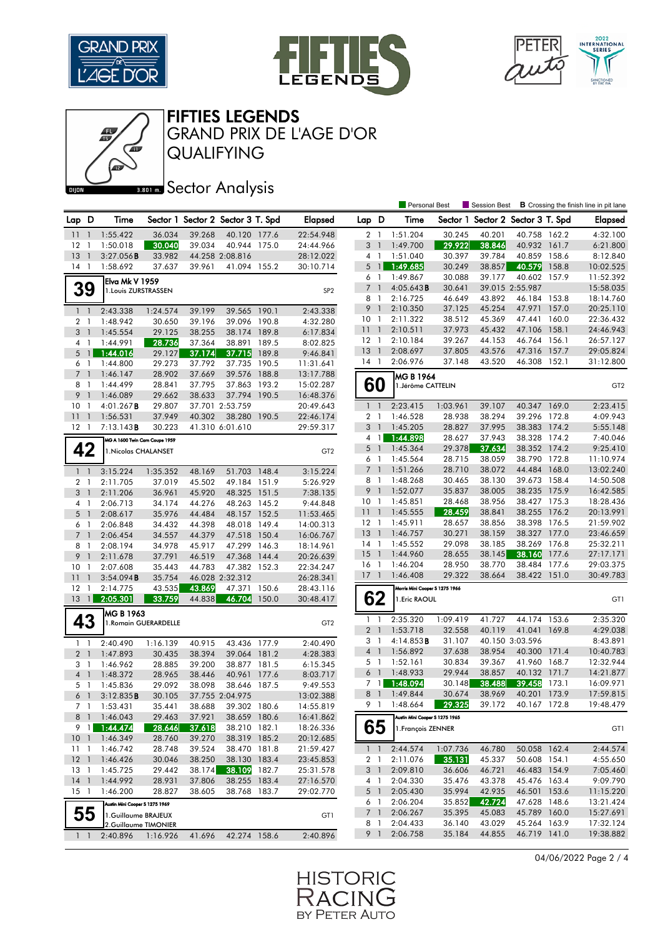

Œ





FIFTIES LEGENDS

QUALIFYING GRAND PRIX DE L'AGE D'OR

## **BRONES** Sector Analysis

|                |                |                                |                       |        |                                   |       |                 |                 |                          | <b>Personal Best</b>           |          | Session Best                      | <b>B</b> Crossing the finish line in pit lane |       |                 |
|----------------|----------------|--------------------------------|-----------------------|--------|-----------------------------------|-------|-----------------|-----------------|--------------------------|--------------------------------|----------|-----------------------------------|-----------------------------------------------|-------|-----------------|
| Lap D          |                | Time                           |                       |        | Sector 1 Sector 2 Sector 3 T. Spd |       | <b>Elapsed</b>  | Lap D           |                          | Time                           |          | Sector 1 Sector 2 Sector 3 T. Spd |                                               |       | <b>Elapsed</b>  |
| 11             | $\overline{1}$ | 1:55.422                       | 36.034                | 39.268 | 40.120 177.6                      |       | 22:54.948       | 2 <sub>1</sub>  |                          | 1:51.204                       | 30.245   | 40.201                            | 40.758 162.2                                  |       | 4:32.100        |
| 12             | $\mathbf{1}$   | 1:50.018                       | 30.040                | 39.034 | 40.944 175.0                      |       | 24:44.966       | 3               | $\overline{1}$           | 1:49.700                       | 29.922   | 38.846                            | 40.932 161.7                                  |       | 6:21.800        |
| 13             | $\mathbf{1}$   | 3:27.056B                      | 33.982                |        | 44.258 2:08.816                   |       | 28:12.022       | $4-1$           |                          | 1:51.040                       | 30.397   | 39.784                            | 40.859                                        | 158.6 | 8:12.840        |
| 14             | - 1            | 1:58.692                       | 37.637                | 39.961 | 41.094 155.2                      |       | 30:10.714       | 5               | $\overline{1}$           | 1:49.685                       | 30.249   | 38.857                            | 40.579                                        | 158.8 | 10:02.525       |
|                |                | Elva Mk V 1959                 |                       |        |                                   |       |                 | 6 1             |                          | 1:49.867                       | 30.088   | 39.177                            | 40.602 157.9                                  |       | 11:52.392       |
|                | 39             | 1. Louis ZURSTRASSEN           |                       |        |                                   |       | SP <sub>2</sub> | $7\overline{ }$ | $\overline{1}$           | $4:05.643$ B                   | 30.641   |                                   | 39.015 2:55.987                               |       | 15:58.035       |
|                |                |                                |                       |        |                                   |       |                 | 8               | $\overline{1}$           | 2:16.725                       | 46.649   | 43.892                            | 46.184 153.8                                  |       | 18:14.760       |
|                | $1\quad$       | 2:43.338                       | 1:24.574              | 39.199 | 39.565 190.1                      |       | 2:43.338        | 9               | $\overline{1}$           | 2:10.350                       | 37.125   | 45.254                            | 47.971                                        | 157.0 | 20:25.110       |
|                | 2 <sub>1</sub> | 1:48.942                       | 30.650                | 39.196 | 39.096                            | 190.8 | 4:32.280        | 10              | $\overline{1}$           | 2:11.322                       | 38.512   | 45.369                            | 47.441                                        | 160.0 | 22:36.432       |
|                | 3 <sub>1</sub> | 1:45.554                       | 29.125                | 38.255 | 38.174 189.8                      |       | 6:17.834        | $11-1$          |                          | 2:10.511                       | 37.973   | 45.432                            | 47.106 158.1                                  |       | 24:46.943       |
|                | 4 1            | 1:44.991                       | 28.736                | 37.364 | 38.891                            | 189.5 | 8:02.825        | $12-1$          |                          | 2:10.184                       | 39.267   | 44.153                            | 46.764                                        | 156.1 | 26:57.127       |
| 5              | $\mathbf{1}$   | 1:44.016                       | 29.127                | 37.174 | 37.715                            | 189.8 | 9:46.841        | 13              | $\overline{1}$           | 2:08.697                       | 37.805   | 43.576                            | 47.316 157.7                                  |       | 29:05.824       |
|                | 6 1            | 1:44.800                       | 29.273                | 37.792 | 37.735                            | 190.5 | 11:31.641       | 14              | $\overline{1}$           | 2:06.976                       | 37.148   | 43.520                            | 46.308 152.1                                  |       | 31:12.800       |
|                | 7 <sup>1</sup> | 1:46.147                       | 28.902                | 37.669 | 39.576                            | 188.8 | 13:17.788       |                 |                          | MG B 1964                      |          |                                   |                                               |       |                 |
|                | 8 1            | 1:44.499                       | 28.841                | 37.795 | 37.863                            | 193.2 | 15:02.287       |                 | 60                       | 1. Jérôme CATTELIN             |          |                                   |                                               |       | GT <sub>2</sub> |
| 9              | $\overline{1}$ | 1:46.089                       | 29.662                | 38.633 | 37.794                            | 190.5 | 16:48.376       |                 |                          |                                |          |                                   |                                               |       |                 |
| 10             | $\mathbf{1}$   | $4:01.267$ B                   | 29.807                |        | 37.701 2:53.759                   |       | 20:49.643       | $1\quad$        |                          | 2:23.415                       | 1:03.961 | 39.107                            | 40.347 169.0                                  |       | 2:23.415        |
| 11             | $\overline{1}$ | 1:56.531                       | 37.949                | 40.302 | 38.280                            | 190.5 | 22:46.174       | 2 <sub>1</sub>  |                          | 1:46.528                       | 28.938   | 38.294                            | 39.296 172.8                                  |       | 4:09.943        |
| $12-1$         |                | $7:13.143$ <b>B</b>            | 30.223                |        | 41.310 6:01.610                   |       | 29:59.317       | 3 <sup>1</sup>  |                          | 1:45.205                       | 28.827   | 37.995                            | 38.383 174.2                                  |       | 5:55.148        |
|                |                | MG A 1600 Twin Cam Coupe 1959  |                       |        |                                   |       |                 |                 | 4 <sub>1</sub>           | 1:44.898                       | 28.627   | 37.943                            | 38.328 174.2                                  |       | 7:40.046        |
|                | 42             | 1. Nicolas CHALANSET           |                       |        |                                   |       | GT <sub>2</sub> | $5-1$           |                          | 1:45.364                       | 29.378   | 37.634                            | 38.352 174.2                                  |       | 9:25.410        |
|                |                |                                |                       |        |                                   |       |                 | 6 1             |                          | 1:45.564                       | 28.715   | 38.059                            | 38.790 172.8                                  |       | 11:10.974       |
| $1\quad$       |                | 3:15.224                       | 1:35.352              | 48.169 | 51.703 148.4                      |       | 3:15.224        | $\overline{7}$  | $\overline{1}$           | 1:51.266                       | 28.710   | 38.072                            | 44.484                                        | 168.0 | 13:02.240       |
|                | 2 1            | 2:11.705                       | 37.019                | 45.502 | 49.184 151.9                      |       | 5:26.929        | 8 1             |                          | 1:48.268                       | 30.465   | 38.130                            | 39.673                                        | 158.4 | 14:50.508       |
| 3 <sup>1</sup> |                | 2:11.206                       | 36.961                | 45.920 | 48.325                            | 151.5 | 7:38.135        | 9 <sub>1</sub>  |                          | 1:52.077                       | 35.837   | 38.005                            | 38.235 175.9                                  |       | 16:42.585       |
|                | 4 1            | 2:06.713                       | 34.174                | 44.276 | 48.263 145.2                      |       | 9:44.848        | 10 <sub>1</sub> |                          | 1:45.851                       | 28.468   | 38.956                            | 38.427 175.3                                  |       | 18:28.436       |
| 5              | $\overline{1}$ | 2:08.617                       | 35.976                | 44.484 | 48.157 152.5                      |       | 11:53.465       | 11              | $\overline{1}$           | 1:45.555                       | 28.459   | 38.841                            | 38.255 176.2                                  |       | 20:13.991       |
|                | 6 1            | 2:06.848                       | 34.432                | 44.398 | 48.018 149.4                      |       | 14:00.313       | $12-1$          |                          | 1:45.911                       | 28.657   | 38.856                            | 38.398 176.5                                  |       | 21:59.902       |
|                | 7 <sub>1</sub> | 2:06.454                       | 34.557                | 44.379 | 47.518                            | 150.4 | 16:06.767       | 13              | $\overline{1}$           | 1:46.757                       | 30.271   | 38.159                            | 38.327 177.0                                  |       | 23:46.659       |
|                | 8 1            | 2:08.194                       | 34.978                | 45.917 | 47.299 146.3                      |       | 18:14.961       | $14-1$          |                          | 1:45.552                       | 29.098   | 38.185                            | 38.269 176.8                                  |       | 25:32.211       |
| 9              | $\overline{1}$ | 2:11.678                       | 37.791                | 46.519 | 47.368                            | 144.4 | 20:26.639       | 15              | $\overline{1}$           | 1:44.960                       | 28.655   | 38.145                            | 38.160                                        | 177.6 | 27:17.171       |
| 10             | $\mathbf{1}$   | 2:07.608                       | 35.443                | 44.783 | 47.382                            | 152.3 | 22:34.247       | $16-1$          |                          | 1:46.204                       | 28.950   | 38.770                            | 38.484 177.6                                  |       | 29:03.375       |
| 11             | $\mathbf{1}$   | 3:54.094B                      | 35.754                |        | 46.028 2:32.312                   |       | 26:28.341       | 17              | $\overline{\phantom{a}}$ | 1:46.408                       | 29.322   | 38.664                            | 38.422 151.0                                  |       | 30:49.783       |
| 12             | $\overline{1}$ | 2:14.775                       | 43.535                | 43.869 | 47.371                            | 150.6 | 28:43.116       |                 |                          | Morris Mini Cooper S 1275 1966 |          |                                   |                                               |       |                 |
| 13             | $\overline{1}$ | 2:05.301                       | 33.759                | 44.838 | 46.704                            | 150.0 | 30:48.417       |                 | 62                       | 1. Eric RAOUL                  |          |                                   |                                               |       | GT1             |
|                |                | IMG B 1963                     |                       |        |                                   |       |                 |                 |                          |                                |          |                                   |                                               |       |                 |
|                | 43             |                                | 1. Romain GUERARDELLE |        |                                   |       | GT <sub>2</sub> | $1\quad$        |                          | 2:35.320                       | 1:09.419 | 41.727                            | 44.174 153.6                                  |       | 2:35.320        |
|                |                |                                |                       |        |                                   |       |                 | 2 <sub>1</sub>  |                          | 1:53.718                       | 32.558   | 40.119                            | 41.041                                        | 169.8 | 4:29.038        |
| $1\quad$       |                | 2:40.490                       | 1:16.139              | 40.915 | 43.436                            | 177.9 | 2:40.490        | 3               | -1                       | 4:14.853B                      | 31.107   |                                   | 40.150 3:03.596                               |       | 8:43.891        |
|                | 2 <sub>1</sub> | 1:47.893                       | 30.435                | 38.394 | 39.064 181.2                      |       | 4:28.383        | $4-1$           |                          | 1:56.892                       | 37.638   | 38.954                            | 40.300 171.4                                  |       | 10:40.783       |
|                | 3 <sub>1</sub> | 1:46.962                       | 28.885                | 39.200 | 38.877 181.5                      |       | 6:15.345        | 5 <sub>1</sub>  |                          | 1:52.161                       | 30.834   | 39.367                            | 41.960 168.7                                  |       | 12:32.944       |
| $\overline{4}$ | $\overline{1}$ | 1:48.372                       | 28.965                | 38.446 | 40.961                            | 177.6 | 8:03.717        | 6 <sup>1</sup>  |                          | 1:48.933                       | 29.944   | 38.857                            | 40.132 171.7                                  |       | 14:21.877       |
|                | 5 <sub>1</sub> | 1:45.836                       | 29.092                | 38.098 | 38.646 187.5                      |       | 9:49.553        |                 | 7 1                      | 1:48.094                       | 30.148   | 38.488                            | 39.458                                        | 173.1 | 16:09.971       |
| $6-1$          |                | 3:12.835B                      | 30.105                |        | 37.755 2:04.975                   |       | 13:02.388       |                 | 8 1                      | 1:49.844                       | 30.674   | 38.969                            | 40.201 173.9                                  |       | 17:59.815       |
|                |                | 7 1 1:53.431                   | 35.441                | 38.688 | 39.302 180.6                      |       | 14:55.819       | 9 1             |                          | 1:48.664                       | 29.325   | 39.172                            | 40.167 172.8                                  |       | 19:48.479       |
|                |                | 8 1 1:46.043                   | 29.463                | 37.921 | 38.659 180.6                      |       | 16:41.862       |                 |                          | Austin Mini Cooper S 1275 1965 |          |                                   |                                               |       |                 |
|                | 9 1            | 1:44.474                       | 28.646                | 37.618 | 38.210 182.1                      |       | 18:26.336       |                 | 65                       | 1. François ZENNER             |          |                                   |                                               |       | GT1             |
|                |                | 10 1 1:46.349                  | 28.760                | 39.270 | 38.319 185.2                      |       | 20:12.685       |                 |                          |                                |          |                                   |                                               |       |                 |
| 11 1           |                | 1:46.742                       | 28.748                | 39.524 | 38.470 181.8                      |       | 21:59.427       | 1 <sup>1</sup>  |                          | 2:44.574                       | 1:07.736 | 46.780                            | 50.058 162.4                                  |       | 2:44.574        |
| $12-1$         |                | 1:46.426                       | 30.046                | 38.250 | 38.130 183.4                      |       | 23:45.853       | 2 <sub>1</sub>  |                          | 2:11.076                       | 35.131   | 45.337                            | 50.608 154.1                                  |       | 4:55.650        |
| 13 1           |                | 1:45.725                       | 29.442                | 38.174 | 38.109                            | 182.7 | 25:31.578       | 3 <sup>1</sup>  |                          | 2:09.810                       | 36.606   | 46.721                            | 46.483 154.9                                  |       | 7:05.460        |
| $14-1$         |                | 1:44.992                       | 28.931                | 37.806 | 38.255 183.4                      |       | 27:16.570       | 4 1             |                          | 2:04.330                       | 35.476   | 43.378                            | 45.476 163.4                                  |       | 9:09.790        |
| $15-1$         |                | 1:46.200                       | 28.827                | 38.605 | 38.768 183.7                      |       | 29:02.770       | 5 1             |                          | 2:05.430                       | 35.994   | 42.935                            | 46.501 153.6                                  |       | 11:15.220       |
|                |                | Austin Mini Cooper S 1275 1969 |                       |        |                                   |       |                 | 6 1             |                          | 2:06.204                       | 35.852   | 42.724                            | 47.628 148.6                                  |       | 13:21.424       |
|                | 55             | 1.Guillaume BRAJEUX            |                       |        |                                   |       | GT1             | 7 <sup>1</sup>  |                          | 2:06.267                       | 35.395   | 45.083                            | 45.789 160.0                                  |       | 15:27.691       |
|                |                | 2.Guillaume TIMONIER           |                       |        |                                   |       |                 | 8 1             |                          | 2:04.433                       | 36.140   | 43.029                            | 45.264 163.9                                  |       | 17:32.124       |
|                | $1\quad1$      | 2:40.896                       | 1:16.926              | 41.696 | 42.274 158.6                      |       | 2:40.896        |                 | 9 1                      | 2:06.758                       | 35.184   | 44.855                            | 46.719 141.0                                  |       | 19:38.882       |
|                |                |                                |                       |        |                                   |       |                 |                 |                          |                                |          |                                   |                                               |       |                 |

04/06/2022 Page 2 / 4

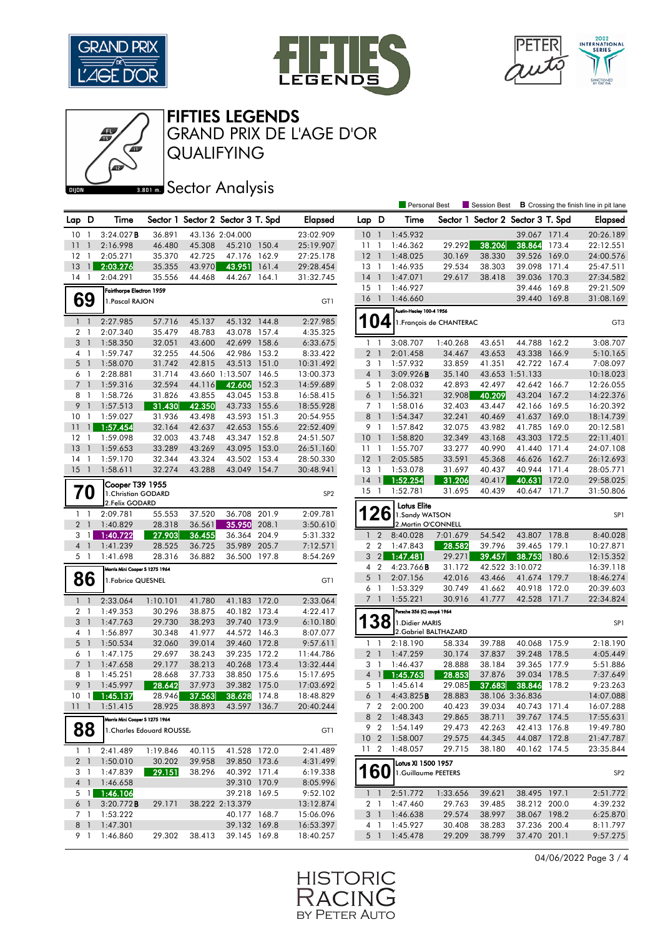

Œ





FIFTIES LEGENDS

QUALIFYING GRAND PRIX DE L'AGE D'OR

## **BRONES** Sector Analysis

|                |                          |                                        |                            |                  |                                   |       |                        |                           |                    | <b>Personal Best</b>                 |                          | Session Best                      |                              |       | <b>B</b> Crossing the finish line in pit lane |
|----------------|--------------------------|----------------------------------------|----------------------------|------------------|-----------------------------------|-------|------------------------|---------------------------|--------------------|--------------------------------------|--------------------------|-----------------------------------|------------------------------|-------|-----------------------------------------------|
| Lap D          |                          | Time                                   |                            |                  | Sector 1 Sector 2 Sector 3 T. Spd |       | <b>Elapsed</b>         | Lap D                     |                    | Time                                 |                          | Sector 1 Sector 2 Sector 3 T. Spd |                              |       | <b>Elapsed</b>                                |
| 10             | -1                       | 3:24.027B                              | 36.891                     |                  | 43.136 2:04.000                   |       | 23:02.909              | 10                        | $\overline{1}$     | 1:45.932                             |                          |                                   | 39.067 171.4                 |       | 20:26.189                                     |
| 11             | $\mathbf{1}$             | 2:16.998                               | 46.480                     | 45.308           | 45.210 150.4                      |       | 25:19.907              | 11                        | $\overline{1}$     | 1:46.362                             | 29.292                   | 38.206                            | 38.864                       | 173.4 | 22:12.551                                     |
| 12             | $\mathbf{1}$             | 2:05.271                               | 35.370                     | 42.725           | 47.176                            | 162.9 | 27:25.178              | $12-1$                    |                    | 1:48.025                             | 30.169                   | 38.330                            | 39.526                       | 169.0 | 24:00.576                                     |
| 13             | $\mathbf{1}$             | 2:03.276                               | 35.355                     | 43.970           | 43.951                            | 161.4 | 29:28.454              | $13-1$                    |                    | 1:46.935                             | 29.534                   | 38.303                            | 39.098                       | 171.4 | 25:47.511                                     |
| $14-1$         |                          | 2:04.291                               | 35.556                     | 44.468           | 44.267 164.1                      |       | 31:32.745              | $14-1$                    |                    | 1:47.071                             | 29.617                   | 38.418                            | 39.036 170.3                 |       | 27:34.582                                     |
|                |                          | Fairthorpe Electron 1959               |                            |                  |                                   |       |                        | $15-1$                    |                    | 1:46.927                             |                          |                                   | 39.446                       | 169.8 | 29:21.509                                     |
|                | 69                       | 1. Pascal RAJON                        |                            |                  |                                   |       | GT1                    | $16-1$                    |                    | 1:46.660                             |                          |                                   | 39.440 169.8                 |       | 31:08.169                                     |
|                |                          |                                        |                            |                  |                                   |       |                        |                           |                    | Austin-Healey 100-4 1956             |                          |                                   |                              |       |                                               |
| $1\quad$       |                          | 2:27.985                               | 57.716                     | 45.137           | 45.132 144.8                      |       | 2:27.985               | 104                       |                    |                                      | 1. François de CHANTERAC |                                   |                              |       | GT <sub>3</sub>                               |
| $\overline{2}$ | $\mathbf{1}$             | 2:07.340                               | 35.479                     | 48.783           | 43.078 157.4                      |       | 4:35.325               |                           |                    |                                      |                          |                                   |                              |       |                                               |
| 3              | $\mathbf{1}$             | 1:58.350                               | 32.051                     | 43.600           | 42.699 158.6                      |       | 6:33.675               | 1                         | $\overline{1}$     | 3:08.707                             | 1:40.268                 | 43.651                            | 44.788                       | 162.2 | 3:08.707                                      |
| $4-1$          |                          | 1:59.747                               | 32.255                     | 44.506           | 42.986 153.2                      |       | 8:33.422               | 2 <sub>1</sub>            |                    | 2:01.458                             | 34.467                   | 43.653                            | 43.338 166.9                 |       | 5:10.165                                      |
| $5-1$          |                          | 1:58.070                               | 31.742                     | 42.815           | 43.513 151.0                      |       | 10:31.492              | 3 <sub>1</sub>            |                    | 1:57.932                             | 33.859                   | 41.351                            | 42.722 167.4                 |       | 7:08.097                                      |
| 6              | - 1                      | 2:28.881                               | 31.714                     |                  | 43.660 1:13.507 146.5             |       | 13:00.373              | 4 <sup>1</sup>            |                    | 3:09.926B                            | 35.140                   |                                   | 43.653 1:51.133              |       | 10:18.023                                     |
| 7 1            |                          | 1:59.316                               | 32.594                     | 44.116           | 42.606                            | 152.3 | 14:59.689              | 5 1                       |                    | 2:08.032                             | 42.893                   | 42.497                            | 42.642 166.7                 |       | 12:26.055                                     |
| 8              | -1                       | 1:58.726                               | 31.826                     | 43.855           | 43.045                            | 153.8 | 16:58.415              | $6-1$                     |                    | 1:56.321                             | 32.908                   | 40.209                            | 43.204                       | 167.2 | 14:22.376                                     |
| 9              | $\mathbf{1}$             | 1:57.513                               | 31.430                     | 42.350           | 43.733 155.6                      |       | 18:55.928              | 7 <sub>1</sub>            |                    | 1:58.016                             | 32.403                   | 43.447                            | 42.166 169.5                 |       | 16:20.392                                     |
| 10             | $\mathbf{1}$             | 1:59.027                               | 31.936                     | 43.498           | 43.593                            | 151.3 | 20:54.955              | 8 <sup>1</sup>            |                    | 1:54.347                             | 32.241                   | 40.469                            | 41.637                       | 169.0 | 18:14.739                                     |
| 11             | $\overline{1}$           | 1:57.454                               | 32.164                     | 42.637           | 42.653 155.6                      |       | 22:52.409              | 9 1                       |                    | 1:57.842<br>1:58.820                 | 32.075                   | 43.982                            | 41.785                       | 169.0 | 20:12.581                                     |
| $12-1$<br>13   | $\overline{1}$           | 1:59.098<br>1:59.653                   | 32.003<br>33.289           | 43.748<br>43.269 | 43.347 152.8<br>43.095            | 153.0 | 24:51.507<br>26:51.160 | $10-1$<br>11 <sub>1</sub> |                    | 1:55.707                             | 32.349<br>33.277         | 43.168<br>40.990                  | 43.303 172.5<br>41.440       | 171.4 | 22:11.401<br>24:07.108                        |
| 14             | $\mathbf{1}$             | 1:59.170                               | 32.344                     | 43.324           | 43.502                            | 153.4 | 28:50.330              | $12-1$                    |                    | 2:05.585                             | 33.591                   | 45.368                            | 46.626 162.7                 |       | 26:12.693                                     |
| 15             | $\overline{\phantom{a}}$ | 1:58.611                               | 32.274                     | 43.288           | 43.049                            | 154.7 | 30:48.941              | $13-1$                    |                    | 1:53.078                             | 31.697                   | 40.437                            | 40.944 171.4                 |       | 28:05.771                                     |
|                |                          |                                        |                            |                  |                                   |       |                        | 14                        | $\mathbf{1}$       | 1:52.254                             | 31.206                   | 40.417                            | 40.631                       | 172.0 | 29:58.025                                     |
|                | 70                       | Cooper T39 1955                        |                            |                  |                                   |       |                        | $15-1$                    |                    | 1:52.781                             | 31.695                   | 40.439                            | 40.647 171.7                 |       | 31:50.806                                     |
|                |                          | 1. Christian GODARD<br>2. Felix GODARD |                            |                  |                                   |       | SP <sub>2</sub>        |                           |                    |                                      |                          |                                   |                              |       |                                               |
| 1 <sub>1</sub> |                          | 2:09.781                               | 55.553                     | 37.520           | 36.708                            | 201.9 | 2:09.781               |                           | 26                 | <b>Lotus Elite</b><br>1.Sandy WATSON |                          |                                   |                              |       | SP <sub>1</sub>                               |
| 2 <sub>1</sub> |                          | 1:40.829                               | 28.318                     | 36.561           | 35.950                            | 208.1 | 3:50.610               |                           |                    | 2. Martin O'CONNELL                  |                          |                                   |                              |       |                                               |
| 3              | $\overline{1}$           | 1:40.722                               | 27.903                     | 36.455           | 36.364                            | 204.9 | 5:31.332               | $\mathbf{1}$              | $\overline{2}$     | 8:40.028                             | 7:01.679                 | 54.542                            | 43.807                       | 178.8 | 8:40.028                                      |
|                | 4 1                      | 1:41.239                               | 28.525                     | 36.725           | 35.989 205.7                      |       | 7:12.571               | 2 <sub>2</sub>            |                    | 1:47.843                             | 28.582                   | 39.796                            | 39.465 179.1                 |       | 10:27.871                                     |
|                | 5 1                      | 1:41.698                               | 28.316                     | 36.882           | 36.500 197.8                      |       | 8:54.269               | 3 <sub>2</sub>            |                    | 1:47.481                             | 29.271                   | 39.457                            | 38.753                       | 180.6 | 12:15.352                                     |
|                |                          | Morris Mini Cooper S 1275 1964         |                            |                  |                                   |       |                        | 4 <sub>2</sub>            |                    | 4:23.766B                            | 31.172                   |                                   | 42.522 3:10.072              |       | 16:39.118                                     |
|                | 86                       | 1. Fabrice QUESNEL                     |                            |                  |                                   |       | GT1                    | 5                         | $\overline{1}$     | 2:07.156                             | 42.016                   | 43.466                            | 41.674                       | 179.7 | 18:46.274                                     |
|                |                          |                                        |                            |                  |                                   |       |                        | 6 1                       |                    | 1:53.329                             | 30.749                   | 41.662                            | 40.918                       | 172.0 | 20:39.603                                     |
| $1\quad$       |                          | 2:33.064                               | 1:10.101                   | 41.780           | 41.183 172.0                      |       | 2:33.064               | 7 1                       |                    | 1:55.221                             | 30.916                   | 41.777                            | 42.528 171.7                 |       | 22:34.824                                     |
| 2 <sub>1</sub> |                          | 1:49.353                               | 30.296                     | 38.875           | 40.182 173.4                      |       | 4:22.417               |                           |                    | Porsche 356 (C) coupé 1964           |                          |                                   |                              |       |                                               |
| 3 <sup>1</sup> |                          | 1:47.763                               | 29.730                     | 38.293           | 39.740 173.9                      |       | 6:10.180               |                           | 38                 | 1. Didier MARIS                      |                          |                                   |                              |       | SP <sub>1</sub>                               |
| 4 1            |                          | 1:56.897                               | 30.348                     | 41.977           | 44.572 146.3                      |       | 8:07.077               |                           |                    |                                      | 2. Gabriel BALTHAZARD    |                                   |                              |       |                                               |
| $5-1$          |                          | 1:50.534                               | 32.060                     | 39.014           | 39.460 172.8                      |       | 9:57.611               | 1                         | $\overline{1}$     | 2:18.190                             | 58.334                   | 39.788                            | 40.068                       | 175.9 | 2:18.190                                      |
| 6 1            |                          | 1:47.175                               | 29.697                     | 38.243           | 39.235 172.2                      |       | 11:44.786              | 2 <sub>1</sub>            |                    | 1:47.259                             | 30.174                   | 37.837                            | 39.248                       | 178.5 | 4:05.449                                      |
| 7 <sup>1</sup> |                          | 1:47.658                               | 29.177                     | 38.213           | 40.268 173.4                      |       | 13:32.444              | 3 <sub>1</sub>            |                    | 1:46.437                             | 28.888                   | 38.184                            | 39.365 177.9                 |       | 5:51.886                                      |
| 8              | $\mathbf{1}$             | 1:45.251                               | 28.668                     | 37.733           | 38.850 175.6                      |       | 15:17.695              | $\overline{4}$            | $\hat{\mathbf{J}}$ | 1:45.763                             | 28.853                   | 37.876                            | 39.034 178.5                 |       | 7:37.649                                      |
| 9              | $\mathbf{1}$             | 1:45.997                               | 28.642                     | 37.973           | 39.382 175.0                      |       | 17:03.692              | 5 <sub>1</sub>            |                    | 1:45.614                             | 29.085                   | 37.683                            | 38.846                       | 178.2 | 9:23.263                                      |
| 101            |                          | 1:45.137                               | 28.946                     | 37.563           | 38.628                            | 174.8 | 18:48.829              | 6 <sup>1</sup>            |                    | 4:43.825B                            | 28.883                   |                                   | 38.106 3:36.836              |       | 14:07.088                                     |
| $11 - 1$       |                          | 1:51.415                               | 28.925                     | 38.893           | 43.597 136.7                      |       | 20:40.244              |                           |                    | 7 2 2:00.200                         | 40.423                   | 39.034                            | 40.743 171.4                 |       | 16:07.288                                     |
|                |                          | Morris Mini Cooper S 1275 1964         |                            |                  |                                   |       |                        | 9 2                       | 8 2                | 1:48.343<br>1:54.149                 | 29.865<br>29.473         | 38.711<br>42.263                  | 39.767 174.5<br>42.413 176.8 |       | 17:55.631<br>19:49.780                        |
|                | 88                       |                                        | 1. Charles Edouard ROUSSE. |                  |                                   |       | GT1                    | 10 <sub>2</sub>           |                    | 1:58.007                             | 29.575                   | 44.345                            | 44.087 172.8                 |       | 21:47.787                                     |
|                |                          |                                        |                            |                  |                                   |       |                        | 11 <sub>2</sub>           |                    | 1:48.057                             | 29.715                   | 38.180                            | 40.162 174.5                 |       | 23:35.844                                     |
| $1\quad1$      |                          | 2:41.489                               | 1:19.846                   | 40.115           | 41.528 172.0                      |       | 2:41.489               |                           |                    |                                      |                          |                                   |                              |       |                                               |
|                | 2 <sub>1</sub><br>3 1    | 1:50.010<br>1:47.839                   | 30.202<br>29.151           | 39.958<br>38.296 | 39.850 173.6<br>40.392 171.4      |       | 4:31.499<br>6:19.338   |                           |                    | Lotus XI 1500 1957                   |                          |                                   |                              |       |                                               |
|                | $4 \quad 1$              | 1:46.658                               |                            |                  | 39.310 170.9                      |       | 8:05.996               | <b>160</b>                |                    | 1.Guillaume PEETERS                  |                          |                                   |                              |       | SP <sub>2</sub>                               |
|                | 5 1                      | 1:46.106                               |                            |                  | 39.218 169.5                      |       | 9:52.102               |                           | $1 \quad 1$        | 2:51.772                             | 1:33.656                 | 39.621                            | 38.495 197.1                 |       | 2:51.772                                      |
|                | 6 1                      | 3:20.772B                              | 29.171                     |                  | 38.222 2:13.379                   |       | 13:12.874              | 2 1                       |                    | 1:47.460                             | 29.763                   | 39.485                            | 38.212 200.0                 |       | 4:39.232                                      |
|                | 7 1                      | 1:53.222                               |                            |                  | 40.177 168.7                      |       | 15:06.096              | 3 <sup>1</sup>            |                    | 1:46.638                             | 29.574                   | 38.997                            | 38.067 198.2                 |       | 6:25.870                                      |
| 8 <sup>1</sup> |                          | 1:47.301                               |                            |                  | 39.132 169.8                      |       | 16:53.397              | 4 1                       |                    | 1:45.927                             | 30.408                   | 38.283                            | 37.236 200.4                 |       | 8:11.797                                      |
|                | 9 1                      | 1:46.860                               | 29.302                     | 38.413           | 39.145 169.8                      |       | 18:40.257              | 5 1                       |                    | 1:45.478                             | 29.209                   | 38.799                            | 37.470 201.1                 |       | 9:57.275                                      |
|                |                          |                                        |                            |                  |                                   |       |                        |                           |                    |                                      |                          |                                   |                              |       |                                               |

04/06/2022 Page 3 / 4